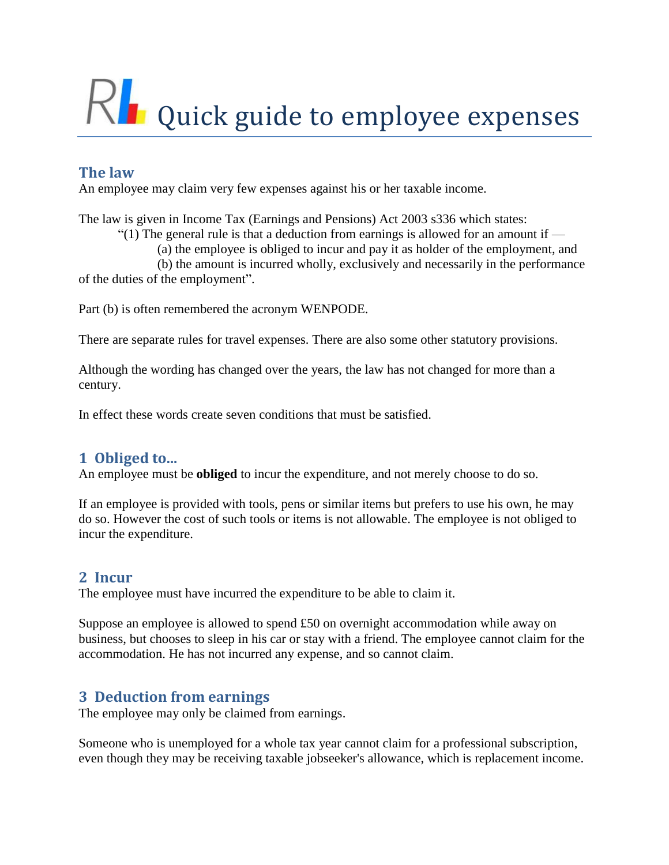# Quick guide to employee expenses

# **The law**

An employee may claim very few expenses against his or her taxable income.

The law is given in Income Tax (Earnings and Pensions) Act 2003 s336 which states:

"(1) The general rule is that a deduction from earnings is allowed for an amount if  $-$ 

(a) the employee is obliged to incur and pay it as holder of the employment, and

(b) the amount is incurred wholly, exclusively and necessarily in the performance of the duties of the employment".

Part (b) is often remembered the acronym WENPODE.

There are separate rules for travel expenses. There are also some other statutory provisions.

Although the wording has changed over the years, the law has not changed for more than a century.

In effect these words create seven conditions that must be satisfied.

# **1 Obliged to...**

An employee must be **obliged** to incur the expenditure, and not merely choose to do so.

If an employee is provided with tools, pens or similar items but prefers to use his own, he may do so. However the cost of such tools or items is not allowable. The employee is not obliged to incur the expenditure.

# **2 Incur**

The employee must have incurred the expenditure to be able to claim it.

Suppose an employee is allowed to spend £50 on overnight accommodation while away on business, but chooses to sleep in his car or stay with a friend. The employee cannot claim for the accommodation. He has not incurred any expense, and so cannot claim.

# **3 Deduction from earnings**

The employee may only be claimed from earnings.

Someone who is unemployed for a whole tax year cannot claim for a professional subscription, even though they may be receiving taxable jobseeker's allowance, which is replacement income.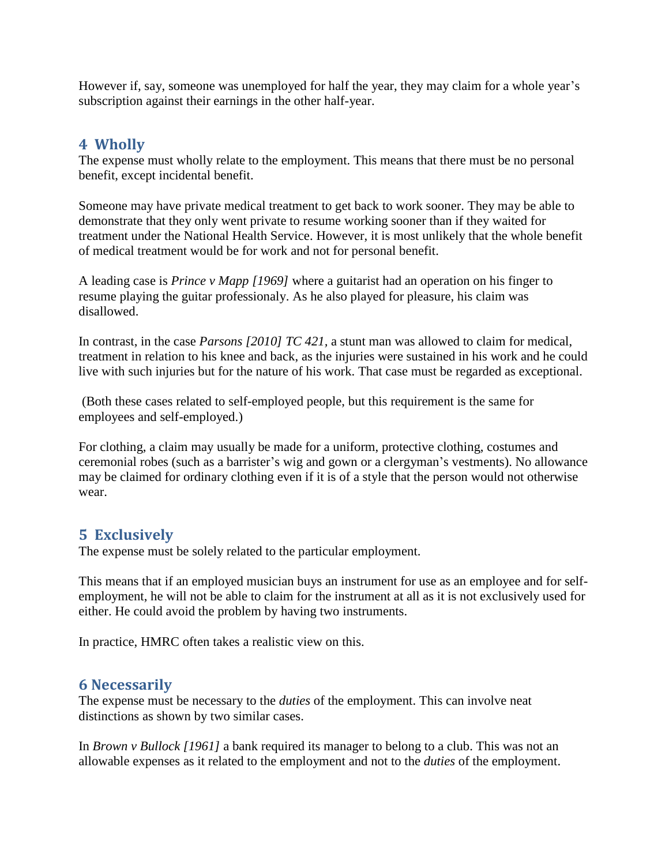However if, say, someone was unemployed for half the year, they may claim for a whole year's subscription against their earnings in the other half-year.

### **4 Wholly**

The expense must wholly relate to the employment. This means that there must be no personal benefit, except incidental benefit.

Someone may have private medical treatment to get back to work sooner. They may be able to demonstrate that they only went private to resume working sooner than if they waited for treatment under the National Health Service. However, it is most unlikely that the whole benefit of medical treatment would be for work and not for personal benefit.

A leading case is *Prince v Mapp [1969]* where a guitarist had an operation on his finger to resume playing the guitar professionaly. As he also played for pleasure, his claim was disallowed.

In contrast, in the case *Parsons [2010] TC 421,* a stunt man was allowed to claim for medical, treatment in relation to his knee and back, as the injuries were sustained in his work and he could live with such injuries but for the nature of his work. That case must be regarded as exceptional.

(Both these cases related to self-employed people, but this requirement is the same for employees and self-employed.)

For clothing, a claim may usually be made for a uniform, protective clothing, costumes and ceremonial robes (such as a barrister's wig and gown or a clergyman's vestments). No allowance may be claimed for ordinary clothing even if it is of a style that the person would not otherwise wear.

## **5 Exclusively**

The expense must be solely related to the particular employment.

This means that if an employed musician buys an instrument for use as an employee and for selfemployment, he will not be able to claim for the instrument at all as it is not exclusively used for either. He could avoid the problem by having two instruments.

In practice, HMRC often takes a realistic view on this.

## **6 Necessarily**

The expense must be necessary to the *duties* of the employment. This can involve neat distinctions as shown by two similar cases.

In *Brown v Bullock [1961]* a bank required its manager to belong to a club. This was not an allowable expenses as it related to the employment and not to the *duties* of the employment.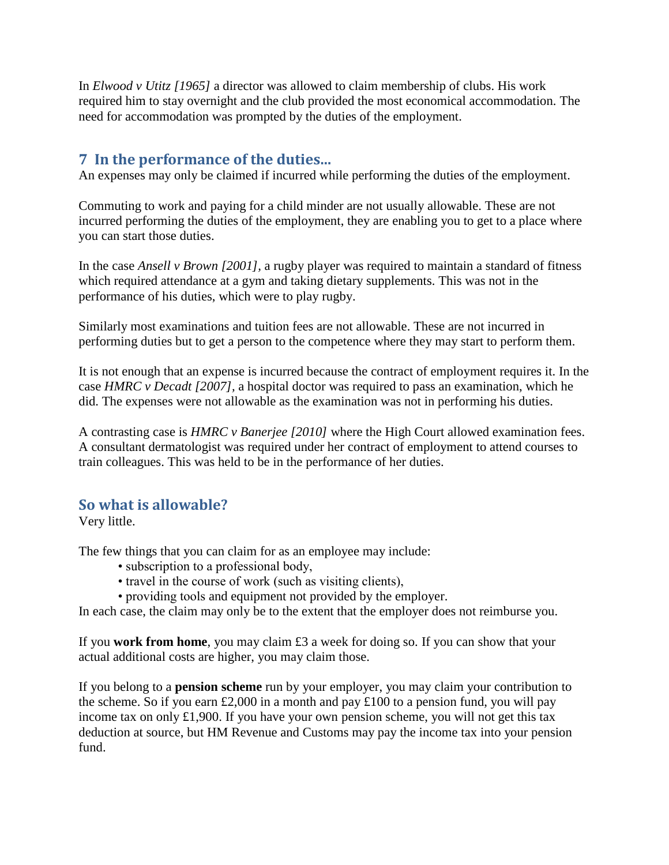In *Elwood v Utitz [1965]* a director was allowed to claim membership of clubs. His work required him to stay overnight and the club provided the most economical accommodation. The need for accommodation was prompted by the duties of the employment.

### **7 In the performance of the duties...**

An expenses may only be claimed if incurred while performing the duties of the employment.

Commuting to work and paying for a child minder are not usually allowable. These are not incurred performing the duties of the employment, they are enabling you to get to a place where you can start those duties.

In the case *Ansell v Brown [2001],* a rugby player was required to maintain a standard of fitness which required attendance at a gym and taking dietary supplements. This was not in the performance of his duties, which were to play rugby.

Similarly most examinations and tuition fees are not allowable. These are not incurred in performing duties but to get a person to the competence where they may start to perform them.

It is not enough that an expense is incurred because the contract of employment requires it. In the case *HMRC v Decadt [2007],* a hospital doctor was required to pass an examination, which he did. The expenses were not allowable as the examination was not in performing his duties.

A contrasting case is *HMRC v Banerjee [2010]* where the High Court allowed examination fees. A consultant dermatologist was required under her contract of employment to attend courses to train colleagues. This was held to be in the performance of her duties.

### **So what is allowable?**

Very little.

The few things that you can claim for as an employee may include:

- subscription to a professional body,
- travel in the course of work (such as visiting clients),
- providing tools and equipment not provided by the employer.

In each case, the claim may only be to the extent that the employer does not reimburse you.

If you **work from home**, you may claim £3 a week for doing so. If you can show that your actual additional costs are higher, you may claim those.

If you belong to a **pension scheme** run by your employer, you may claim your contribution to the scheme. So if you earn  $\text{\pounds}2,000$  in a month and pay  $\text{\pounds}100$  to a pension fund, you will pay income tax on only £1,900. If you have your own pension scheme, you will not get this tax deduction at source, but HM Revenue and Customs may pay the income tax into your pension fund.